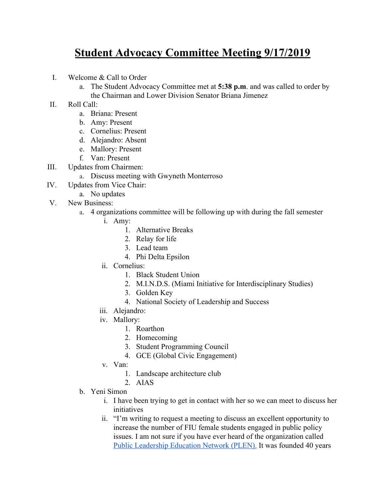## **Student Advocacy Committee Meeting 9/17/2019**

- I. Welcome & Call to Order
	- a. The Student Advocacy Committee met at **5:38 p.m**. and was called to order by the Chairman and Lower Division Senator Briana Jimenez
- II. Roll Call:
	- a. Briana: Present
	- b. Amy: Present
	- c. Cornelius: Present
	- d. Alejandro: Absent
	- e. Mallory: Present
	- f. Van: Present
- III. Updates from Chairmen:
	- a. Discuss meeting with Gwyneth Monterroso
- IV. Updates from Vice Chair:
- a. No updates
- V. New Business:
	- a. 4 organizations committee will be following up with during the fall semester
		- i. Amy:
			- 1. Alternative Breaks
			- 2. Relay for life
			- 3. Lead team
			- 4. Phi Delta Epsilon
		- ii. Cornelius:
			- 1. Black Student Union
			- 2. M.I.N.D.S. (Miami Initiative for Interdisciplinary Studies)
			- 3. Golden Key
			- 4. National Society of Leadership and Success
		- iii. Alejandro:
		- iv. Mallory:
			- 1. Roarthon
			- 2. Homecoming
			- 3. Student Programming Council
			- 4. GCE (Global Civic Engagement)
		- v. Van:
			- 1. Landscape architecture club
			- 2. AIAS
	- b. Yeni Simon
		- i. I have been trying to get in contact with her so we can meet to discuss her initiatives
		- ii. "I'm writing to request a meeting to discuss an excellent opportunity to increase the number of FIU female students engaged in public policy issues. I am not sure if you have ever heard of the organization called [Public Leadership Education Network \(PLEN\).](https://plen.org/) It was founded 40 years